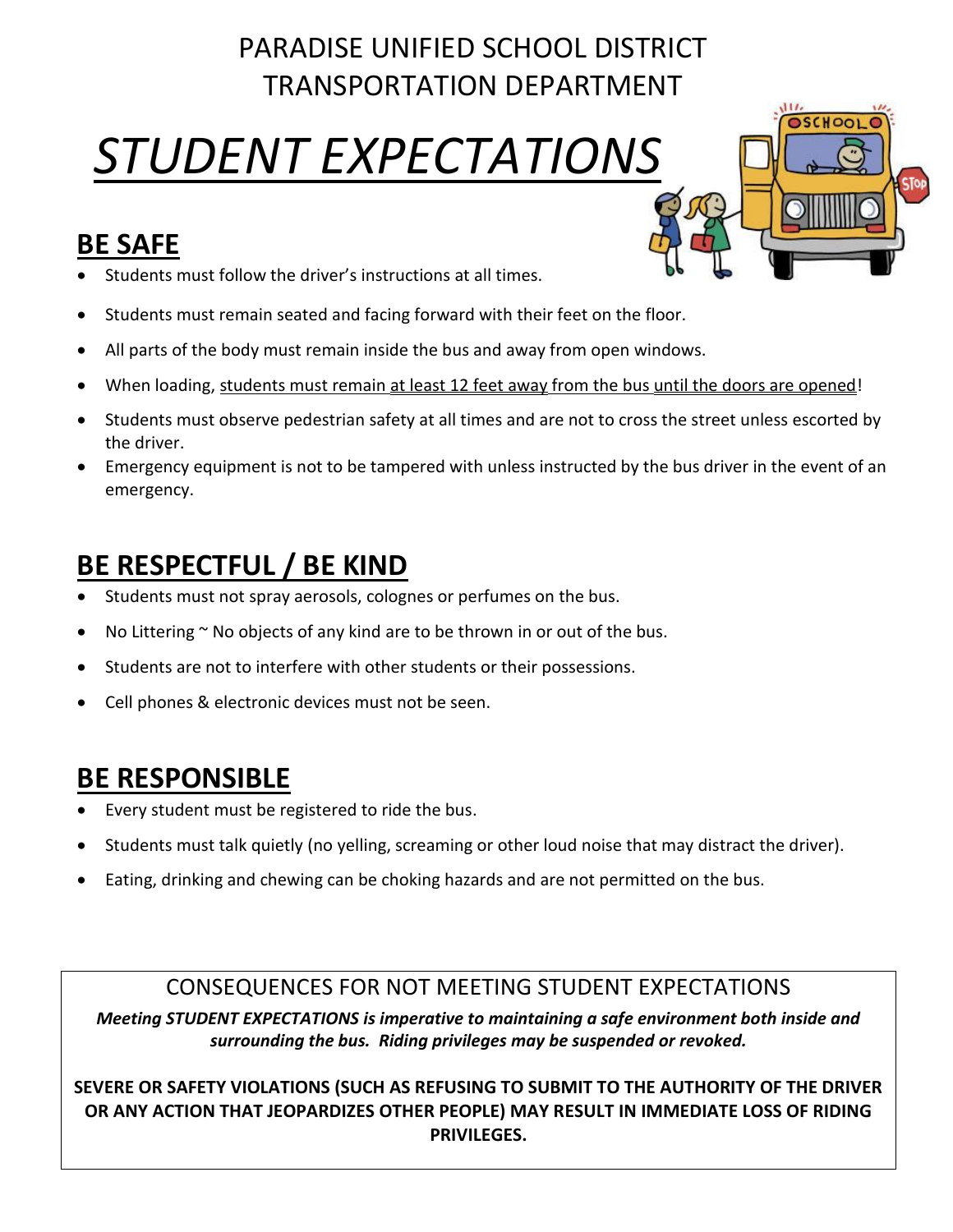## PARADISE UNIFIED SCHOOL DISTRICT TRANSPORTATION DEPARTMENT

# *STUDENT EXPECTATIONS*

### **BE SAFE**

- Students must follow the driver's instructions at all times.
- Students must remain seated and facing forward with their feet on the floor.
- All parts of the body must remain inside the bus and away from open windows.
- When loading, students must remain at least 12 feet away from the bus until the doors are opened!
- Students must observe pedestrian safety at all times and are not to cross the street unless escorted by the driver.
- Emergency equipment is not to be tampered with unless instructed by the bus driver in the event of an emergency.

## **BE RESPECTFUL / BE KIND**

- Students must not spray aerosols, colognes or perfumes on the bus.
- No Littering  $\sim$  No objects of any kind are to be thrown in or out of the bus.
- Students are not to interfere with other students or their possessions.
- Cell phones & electronic devices must not be seen.

### **BE RESPONSIBLE**

- Every student must be registered to ride the bus.
- Students must talk quietly (no yelling, screaming or other loud noise that may distract the driver).
- Eating, drinking and chewing can be choking hazards and are not permitted on the bus.

#### CONSEQUENCES FOR NOT MEETING STUDENT EXPECTATIONS

*Meeting STUDENT EXPECTATIONS is imperative to maintaining a safe environment both inside and surrounding the bus. Riding privileges may be suspended or revoked.*

**SEVERE OR SAFETY VIOLATIONS (SUCH AS REFUSING TO SUBMIT TO THE AUTHORITY OF THE DRIVER OR ANY ACTION THAT JEOPARDIZES OTHER PEOPLE) MAY RESULT IN IMMEDIATE LOSS OF RIDING PRIVILEGES.**